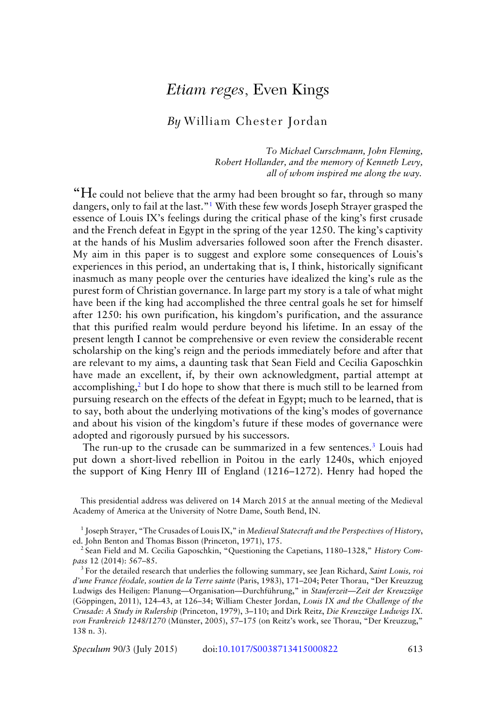## *Etiam reges*, Even Kings

## *By* William Chester Jordan

*To Michael Curschmann, John Fleming, Robert Hollander, and the memory of Kenneth Levy, all of whom inspired me along the way.*

"He could not believe that the army had been brought so far, through so many dangers, only to fail at the last."<sup>1</sup> With these few words Joseph Strayer grasped the essence of Louis IX's feelings during the critical phase of the king's first crusade and the French defeat in Egypt in the spring of the year 1250. The king's captivity at the hands of his Muslim adversaries followed soon after the French disaster. My aim in this paper is to suggest and explore some consequences of Louis's experiences in this period, an undertaking that is, I think, historically significant inasmuch as many people over the centuries have idealized the king's rule as the purest form of Christian governance. In large part my story is a tale of what might have been if the king had accomplished the three central goals he set for himself after 1250: his own purification, his kingdom's purification, and the assurance that this purified realm would perdure beyond his lifetime. In an essay of the present length I cannot be comprehensive or even review the considerable recent scholarship on the king's reign and the periods immediately before and after that are relevant to my aims, a daunting task that Sean Field and Cecilia Gaposchkin have made an excellent, if, by their own acknowledgment, partial attempt at accomplishing,<sup>2</sup> but I do hope to show that there is much still to be learned from pursuing research on the effects of the defeat in Egypt; much to be learned, that is to say, both about the underlying motivations of the king's modes of governance and about his vision of the kingdom's future if these modes of governance were adopted and rigorously pursued by his successors.

The run-up to the crusade can be summarized in a few sentences.<sup>3</sup> Louis had put down a short-lived rebellion in Poitou in the early 1240s, which enjoyed the support of King Henry III of England (1216–1272). Henry had hoped the

This presidential address was delivered on 14 March 2015 at the annual meeting of the Medieval Academy of America at the University of Notre Dame, South Bend, IN.

<sup>1</sup> Joseph Strayer, "The Crusades of Louis IX," in *Medieval Statecraft and the Perspectives of History*, ed. John Benton and Thomas Bisson (Princeton, 1971), 175.

<sup>2</sup> Sean Field and M. Cecilia Gaposchkin, "Questioning the Capetians, 1180–1328," *History Compass* 12 (2014): 567–85.

<sup>3</sup> For the detailed research that underlies the following summary, see Jean Richard, *Saint Louis, roi d'une France feodale, soutien de la Terre sainte ´* (Paris, 1983), 171–204; Peter Thorau, "Der Kreuzzug Ludwigs des Heiligen: Planung-Organisation-Durchführung," in Stauferzeit-Zeit der Kreuzzüge (Göppingen, 2011), 124–43, at 126–34; William Chester Jordan, Louis IX and the Challenge of the *Crusade: A Study in Rulership* (Princeton, 1979), 3–110; and Dirk Reitz, *Die Kreuzzuge Ludwigs IX. ¨ von Frankreich 1248/1270* (Munster, 2005), 57–175 (on Reitz's work, see Thorau, "Der Kreuzzug," ¨ 138 n. 3).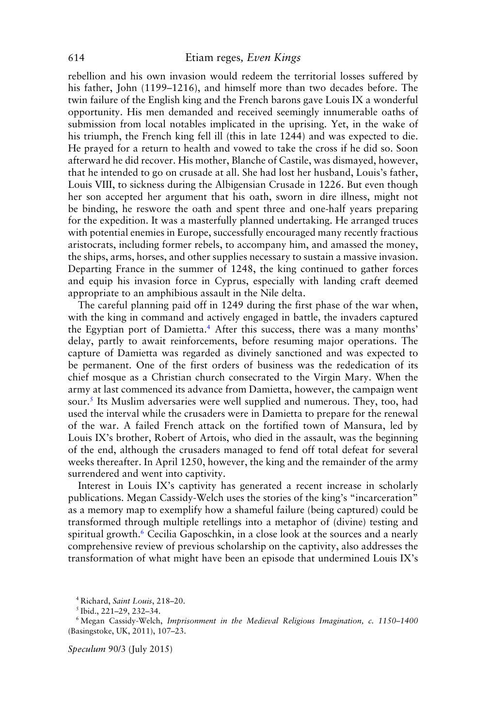rebellion and his own invasion would redeem the territorial losses suffered by his father, John (1199–1216), and himself more than two decades before. The twin failure of the English king and the French barons gave Louis IX a wonderful opportunity. His men demanded and received seemingly innumerable oaths of submission from local notables implicated in the uprising. Yet, in the wake of his triumph, the French king fell ill (this in late 1244) and was expected to die. He prayed for a return to health and vowed to take the cross if he did so. Soon afterward he did recover. His mother, Blanche of Castile, was dismayed, however, that he intended to go on crusade at all. She had lost her husband, Louis's father, Louis VIII, to sickness during the Albigensian Crusade in 1226. But even though her son accepted her argument that his oath, sworn in dire illness, might not be binding, he reswore the oath and spent three and one-half years preparing for the expedition. It was a masterfully planned undertaking. He arranged truces with potential enemies in Europe, successfully encouraged many recently fractious aristocrats, including former rebels, to accompany him, and amassed the money, the ships, arms, horses, and other supplies necessary to sustain a massive invasion. Departing France in the summer of 1248, the king continued to gather forces and equip his invasion force in Cyprus, especially with landing craft deemed appropriate to an amphibious assault in the Nile delta.

The careful planning paid off in 1249 during the first phase of the war when, with the king in command and actively engaged in battle, the invaders captured the Egyptian port of Damietta.<sup>4</sup> After this success, there was a many months' delay, partly to await reinforcements, before resuming major operations. The capture of Damietta was regarded as divinely sanctioned and was expected to be permanent. One of the first orders of business was the rededication of its chief mosque as a Christian church consecrated to the Virgin Mary. When the army at last commenced its advance from Damietta, however, the campaign went sour.<sup>5</sup> Its Muslim adversaries were well supplied and numerous. They, too, had used the interval while the crusaders were in Damietta to prepare for the renewal of the war. A failed French attack on the fortified town of Mansura, led by Louis IX's brother, Robert of Artois, who died in the assault, was the beginning of the end, although the crusaders managed to fend off total defeat for several weeks thereafter. In April 1250, however, the king and the remainder of the army surrendered and went into captivity.

Interest in Louis IX's captivity has generated a recent increase in scholarly publications. Megan Cassidy-Welch uses the stories of the king's "incarceration" as a memory map to exemplify how a shameful failure (being captured) could be transformed through multiple retellings into a metaphor of (divine) testing and spiritual growth.<sup>6</sup> Cecilia Gaposchkin, in a close look at the sources and a nearly comprehensive review of previous scholarship on the captivity, also addresses the transformation of what might have been an episode that undermined Louis IX's

<sup>4</sup> Richard, *Saint Louis*, 218–20.

 $<sup>5</sup>$  Ibid., 221-29, 232-34.</sup>

<sup>6</sup> Megan Cassidy-Welch, *Imprisonment in the Medieval Religious Imagination, c. 1150–1400* (Basingstoke, UK, 2011), 107–23.

*Speculum* 90/3 (July 2015)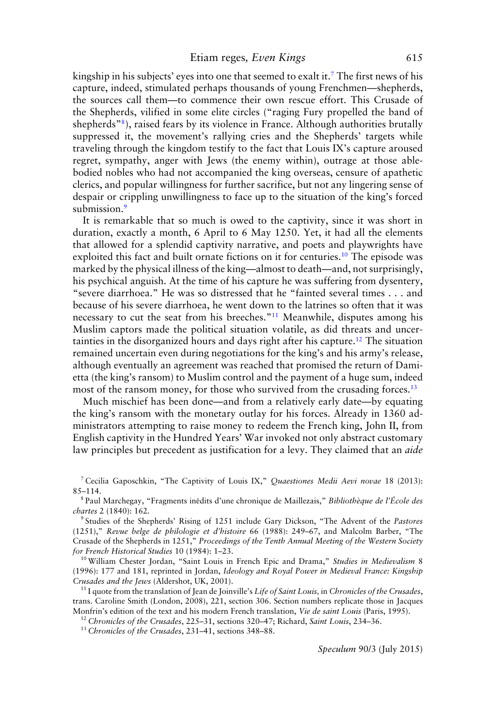kingship in his subjects' eyes into one that seemed to exalt it.<sup>7</sup> The first news of his capture, indeed, stimulated perhaps thousands of young Frenchmen—shepherds, the sources call them—to commence their own rescue effort. This Crusade of the Shepherds, vilified in some elite circles ("raging Fury propelled the band of shepherds"8), raised fears by its violence in France. Although authorities brutally suppressed it, the movement's rallying cries and the Shepherds' targets while traveling through the kingdom testify to the fact that Louis IX's capture aroused regret, sympathy, anger with Jews (the enemy within), outrage at those ablebodied nobles who had not accompanied the king overseas, censure of apathetic clerics, and popular willingness for further sacrifice, but not any lingering sense of despair or crippling unwillingness to face up to the situation of the king's forced submission.<sup>9</sup>

It is remarkable that so much is owed to the captivity, since it was short in duration, exactly a month, 6 April to 6 May 1250. Yet, it had all the elements that allowed for a splendid captivity narrative, and poets and playwrights have exploited this fact and built ornate fictions on it for centuries.10 The episode was marked by the physical illness of the king—almost to death—and, not surprisingly, his psychical anguish. At the time of his capture he was suffering from dysentery, "severe diarrhoea." He was so distressed that he "fainted several times . . . and because of his severe diarrhoea, he went down to the latrines so often that it was necessary to cut the seat from his breeches."11 Meanwhile, disputes among his Muslim captors made the political situation volatile, as did threats and uncertainties in the disorganized hours and days right after his capture.12 The situation remained uncertain even during negotiations for the king's and his army's release, although eventually an agreement was reached that promised the return of Damietta (the king's ransom) to Muslim control and the payment of a huge sum, indeed most of the ransom money, for those who survived from the crusading forces.<sup>13</sup>

Much mischief has been done—and from a relatively early date—by equating the king's ransom with the monetary outlay for his forces. Already in 1360 administrators attempting to raise money to redeem the French king, John II, from English captivity in the Hundred Years' War invoked not only abstract customary law principles but precedent as justification for a levy. They claimed that an *aide*

<sup>10</sup> William Chester Jordan, "Saint Louis in French Epic and Drama," *Studies in Medievalism* 8 (1996): 177 and 181, reprinted in Jordan, *Ideology and Royal Power in Medieval France: Kingship Crusades and the Jews* (Aldershot, UK, 2001).

<sup>11</sup> I quote from the translation of Jean de Joinville's *Life of Saint Louis,* in *Chronicles of the Crusades*, trans. Caroline Smith (London, 2008), 221, section 306. Section numbers replicate those in Jacques Monfrin's edition of the text and his modern French translation, *Vie de saint Louis* (Paris, 1995).

<sup>12</sup> *Chronicles of the Crusades*, 225–31, sections 320–47; Richard, *Saint Louis*, 234–36.

<sup>13</sup> *Chronicles of the Crusades*, 231–41, sections 348–88.

<sup>7</sup> Cecilia Gaposchkin, "The Captivity of Louis IX," *Quaestiones Medii Aevi novae* 18 (2013): 85–114.

<sup>8</sup> Paul Marchegay, "Fragments inedits d'une chronique de Maillezais," ´ *Bibliotheque de l' ` Ecole des ´ chartes* 2 (1840): 162.

<sup>9</sup> Studies of the Shepherds' Rising of 1251 include Gary Dickson, "The Advent of the *Pastores* (1251)," *Revue belge de philologie et d'histoire* 66 (1988): 249–67, and Malcolm Barber, "The Crusade of the Shepherds in 1251," *Proceedings of the Tenth Annual Meeting of the Western Society for French Historical Studies* 10 (1984): 1–23.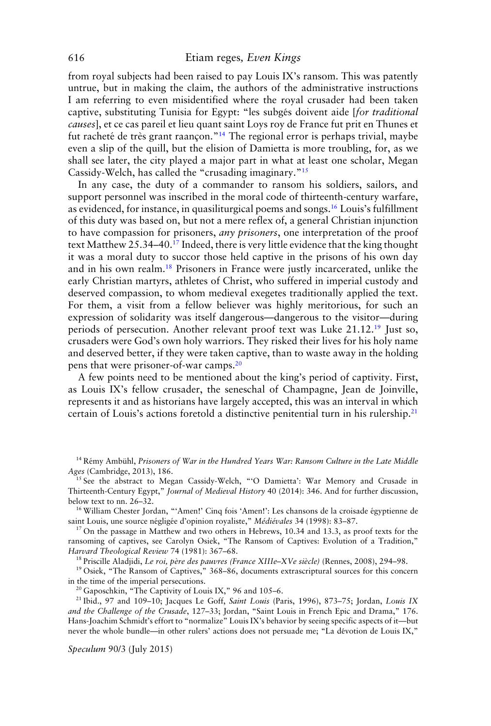from royal subjects had been raised to pay Louis IX's ransom. This was patently untrue, but in making the claim, the authors of the administrative instructions I am referring to even misidentified where the royal crusader had been taken captive, substituting Tunisia for Egypt: "les subgés doivent aide [for traditional *causes*], et ce cas pareil et lieu quant saint Loys roy de France fut prit en Thunes et fut racheté de très grant raançon."<sup>14</sup> The regional error is perhaps trivial, maybe even a slip of the quill, but the elision of Damietta is more troubling, for, as we shall see later, the city played a major part in what at least one scholar, Megan Cassidy-Welch, has called the "crusading imaginary."15

In any case, the duty of a commander to ransom his soldiers, sailors, and support personnel was inscribed in the moral code of thirteenth-century warfare, as evidenced, for instance, in quasiliturgical poems and songs.<sup>16</sup> Louis's fulfillment of this duty was based on, but not a mere reflex of, a general Christian injunction to have compassion for prisoners, *any prisoners*, one interpretation of the proof text Matthew 25.34–40.17 Indeed, there is very little evidence that the king thought it was a moral duty to succor those held captive in the prisons of his own day and in his own realm.18 Prisoners in France were justly incarcerated, unlike the early Christian martyrs, athletes of Christ, who suffered in imperial custody and deserved compassion, to whom medieval exegetes traditionally applied the text. For them, a visit from a fellow believer was highly meritorious, for such an expression of solidarity was itself dangerous—dangerous to the visitor—during periods of persecution. Another relevant proof text was Luke 21.12.19 Just so, crusaders were God's own holy warriors. They risked their lives for his holy name and deserved better, if they were taken captive, than to waste away in the holding pens that were prisoner-of-war camps.20

A few points need to be mentioned about the king's period of captivity. First, as Louis IX's fellow crusader, the seneschal of Champagne, Jean de Joinville, represents it and as historians have largely accepted, this was an interval in which certain of Louis's actions foretold a distinctive penitential turn in his rulership.<sup>21</sup>

<sup>14</sup> Rémy Ambühl, Prisoners of War in the Hundred Years War: Ransom Culture in the Late Middle *Ages* (Cambridge, 2013), 186.

<sup>15</sup> See the abstract to Megan Cassidy-Welch, "'O Damietta': War Memory and Crusade in Thirteenth-Century Egypt," *Journal of Medieval History* 40 (2014): 346. And for further discussion, below text to nn. 26–32.

<sup>16</sup> William Chester Jordan, "'Amen!' Cinq fois 'Amen!': Les chansons de la croisade égyptienne de saint Louis, une source négligée d'opinion royaliste," Médiévales 34 (1998): 83-87.

<sup>17</sup> On the passage in Matthew and two others in Hebrews, 10.34 and 13.3, as proof texts for the ransoming of captives, see Carolyn Osiek, "The Ransom of Captives: Evolution of a Tradition," *Harvard Theological Review* 74 (1981): 367–68.

<sup>18</sup> Priscille Aladjidi, *Le roi, père des pauvres (France XIIIe-XVe siècle)* (Rennes, 2008), 294-98.

<sup>19</sup> Osiek, "The Ransom of Captives," 368-86, documents extrascriptural sources for this concern in the time of the imperial persecutions.

<sup>20</sup> Gaposchkin, "The Captivity of Louis IX," 96 and 105-6.

<sup>21</sup> Ibid., 97 and 109–10; Jacques Le Goff, *Saint Louis* (Paris, 1996), 873–75; Jordan, *Louis IX and the Challenge of the Crusade*, 127–33; Jordan, "Saint Louis in French Epic and Drama," 176. Hans-Joachim Schmidt's effort to "normalize" Louis IX's behavior by seeing specific aspects of it—but never the whole bundle—in other rulers' actions does not persuade me; "La devotion de Louis IX," ´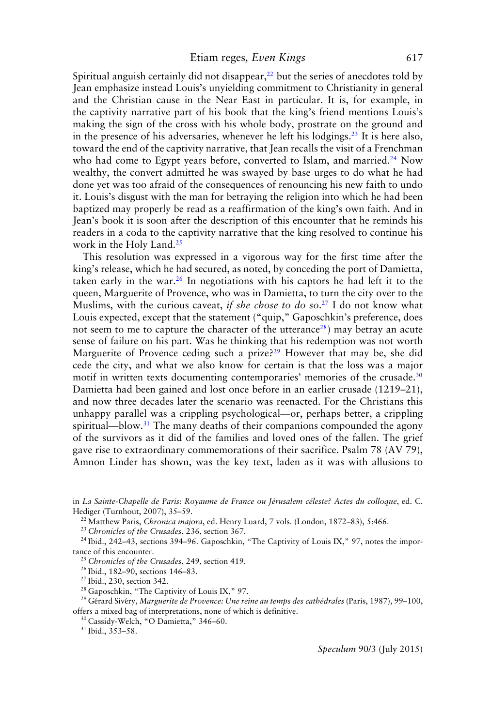Spiritual anguish certainly did not disappear, $^{22}$  but the series of anecdotes told by Jean emphasize instead Louis's unyielding commitment to Christianity in general and the Christian cause in the Near East in particular. It is, for example, in the captivity narrative part of his book that the king's friend mentions Louis's making the sign of the cross with his whole body, prostrate on the ground and in the presence of his adversaries, whenever he left his lodgings.<sup>23</sup> It is here also, toward the end of the captivity narrative, that Jean recalls the visit of a Frenchman who had come to Egypt years before, converted to Islam, and married.<sup>24</sup> Now wealthy, the convert admitted he was swayed by base urges to do what he had done yet was too afraid of the consequences of renouncing his new faith to undo it. Louis's disgust with the man for betraying the religion into which he had been baptized may properly be read as a reaffirmation of the king's own faith. And in Jean's book it is soon after the description of this encounter that he reminds his readers in a coda to the captivity narrative that the king resolved to continue his work in the Holy Land.25

This resolution was expressed in a vigorous way for the first time after the king's release, which he had secured, as noted, by conceding the port of Damietta, taken early in the war.<sup>26</sup> In negotiations with his captors he had left it to the queen, Marguerite of Provence, who was in Damietta, to turn the city over to the Muslims, with the curious caveat, *if she chose to do so*. <sup>27</sup> I do not know what Louis expected, except that the statement ("quip," Gaposchkin's preference, does not seem to me to capture the character of the utterance<sup>28</sup>) may betray an acute sense of failure on his part. Was he thinking that his redemption was not worth Marguerite of Provence ceding such a prize?<sup>29</sup> However that may be, she did cede the city, and what we also know for certain is that the loss was a major motif in written texts documenting contemporaries' memories of the crusade.<sup>30</sup> Damietta had been gained and lost once before in an earlier crusade (1219–21), and now three decades later the scenario was reenacted. For the Christians this unhappy parallel was a crippling psychological—or, perhaps better, a crippling spiritual—blow.<sup>31</sup> The many deaths of their companions compounded the agony of the survivors as it did of the families and loved ones of the fallen. The grief gave rise to extraordinary commemorations of their sacrifice. Psalm 78 (AV 79), Amnon Linder has shown, was the key text, laden as it was with allusions to

in *La Sainte-Chapelle de Paris: Royaume de France ou Jerusalem c ´ eleste? Actes du colloque ´* , ed. C. Hediger (Turnhout, 2007), 35–59.

<sup>22</sup> Matthew Paris, *Chronica majora*, ed. Henry Luard, 7 vols. (London, 1872–83), 5:466.

<sup>23</sup> *Chronicles of the Crusades*, 236, section 367.

<sup>&</sup>lt;sup>24</sup> Ibid., 242-43, sections 394-96. Gaposchkin, "The Captivity of Louis IX," 97, notes the importance of this encounter.

<sup>25</sup> *Chronicles of the Crusades*, 249, section 419.

<sup>26</sup> Ibid., 182–90, sections 146–83.

 $27$  Ibid., 230, section 342.

<sup>&</sup>lt;sup>28</sup> Gaposchkin, "The Captivity of Louis IX," 97.

<sup>&</sup>lt;sup>29</sup> Gérard Sivéry, Marguerite de Provence: Une reine au temps des cathédrales (Paris, 1987), 99-100, offers a mixed bag of interpretations, none of which is definitive.

<sup>30</sup> Cassidy-Welch, "O Damietta," 346–60.

<sup>31</sup> Ibid., 353–58.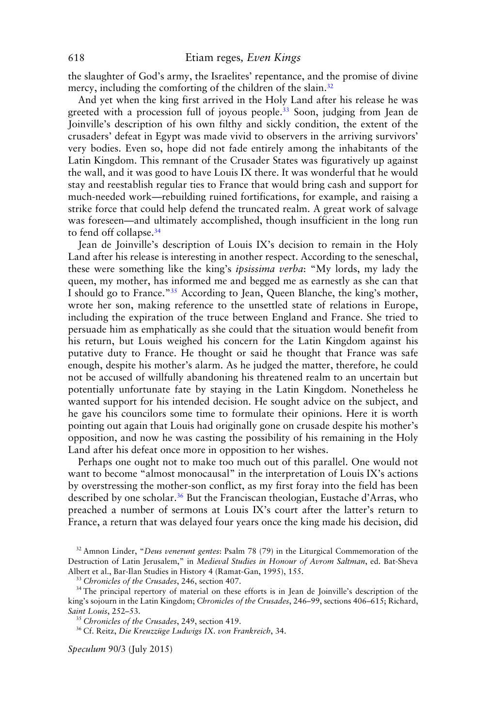the slaughter of God's army, the Israelites' repentance, and the promise of divine mercy, including the comforting of the children of the slain.<sup>32</sup>

And yet when the king first arrived in the Holy Land after his release he was greeted with a procession full of joyous people.<sup>33</sup> Soon, judging from Jean de Joinville's description of his own filthy and sickly condition, the extent of the crusaders' defeat in Egypt was made vivid to observers in the arriving survivors' very bodies. Even so, hope did not fade entirely among the inhabitants of the Latin Kingdom. This remnant of the Crusader States was figuratively up against the wall, and it was good to have Louis IX there. It was wonderful that he would stay and reestablish regular ties to France that would bring cash and support for much-needed work—rebuilding ruined fortifications, for example, and raising a strike force that could help defend the truncated realm. A great work of salvage was foreseen—and ultimately accomplished, though insufficient in the long run to fend off collapse.<sup>34</sup>

Jean de Joinville's description of Louis IX's decision to remain in the Holy Land after his release is interesting in another respect. According to the seneschal, these were something like the king's *ipsissima verba*: "My lords, my lady the queen, my mother, has informed me and begged me as earnestly as she can that I should go to France."35 According to Jean, Queen Blanche, the king's mother, wrote her son, making reference to the unsettled state of relations in Europe, including the expiration of the truce between England and France. She tried to persuade him as emphatically as she could that the situation would benefit from his return, but Louis weighed his concern for the Latin Kingdom against his putative duty to France. He thought or said he thought that France was safe enough, despite his mother's alarm. As he judged the matter, therefore, he could not be accused of willfully abandoning his threatened realm to an uncertain but potentially unfortunate fate by staying in the Latin Kingdom. Nonetheless he wanted support for his intended decision. He sought advice on the subject, and he gave his councilors some time to formulate their opinions. Here it is worth pointing out again that Louis had originally gone on crusade despite his mother's opposition, and now he was casting the possibility of his remaining in the Holy Land after his defeat once more in opposition to her wishes.

Perhaps one ought not to make too much out of this parallel. One would not want to become "almost monocausal" in the interpretation of Louis IX's actions by overstressing the mother-son conflict, as my first foray into the field has been described by one scholar.<sup>36</sup> But the Franciscan theologian, Eustache d'Arras, who preached a number of sermons at Louis IX's court after the latter's return to France, a return that was delayed four years once the king made his decision, did

<sup>32</sup> Amnon Linder, "*Deus venerunt gentes*: Psalm 78 (79) in the Liturgical Commemoration of the Destruction of Latin Jerusalem," in *Medieval Studies in Honour of Avrom Saltman*, ed. Bat-Sheva Albert et al., Bar-Ilan Studies in History 4 (Ramat-Gan, 1995), 155.

<sup>33</sup> *Chronicles of the Crusades*, 246, section 407.

<sup>34</sup> The principal repertory of material on these efforts is in Jean de Joinville's description of the king's sojourn in the Latin Kingdom; *Chronicles of the Crusades*, 246–99, sections 406–615; Richard, *Saint Louis*, 252–53.

<sup>35</sup> *Chronicles of the Crusades*, 249, section 419.

<sup>36</sup> Cf. Reitz, Die Kreuzzüge Ludwigs IX. von Frankreich, 34.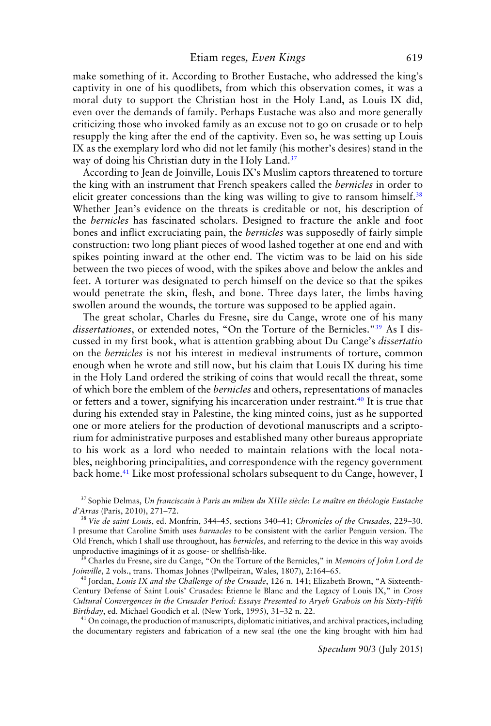make something of it. According to Brother Eustache, who addressed the king's captivity in one of his quodlibets, from which this observation comes, it was a moral duty to support the Christian host in the Holy Land, as Louis IX did, even over the demands of family. Perhaps Eustache was also and more generally criticizing those who invoked family as an excuse not to go on crusade or to help resupply the king after the end of the captivity. Even so, he was setting up Louis IX as the exemplary lord who did not let family (his mother's desires) stand in the way of doing his Christian duty in the Holy Land.<sup>37</sup>

According to Jean de Joinville, Louis IX's Muslim captors threatened to torture the king with an instrument that French speakers called the *bernicles* in order to elicit greater concessions than the king was willing to give to ransom himself.<sup>38</sup> Whether Jean's evidence on the threats is creditable or not, his description of the *bernicles* has fascinated scholars. Designed to fracture the ankle and foot bones and inflict excruciating pain, the *bernicles* was supposedly of fairly simple construction: two long pliant pieces of wood lashed together at one end and with spikes pointing inward at the other end. The victim was to be laid on his side between the two pieces of wood, with the spikes above and below the ankles and feet. A torturer was designated to perch himself on the device so that the spikes would penetrate the skin, flesh, and bone. Three days later, the limbs having swollen around the wounds, the torture was supposed to be applied again.

The great scholar, Charles du Fresne, sire du Cange, wrote one of his many *dissertationes*, or extended notes, "On the Torture of the Bernicles."39 As I discussed in my first book, what is attention grabbing about Du Cange's *dissertatio* on the *bernicles* is not his interest in medieval instruments of torture, common enough when he wrote and still now, but his claim that Louis IX during his time in the Holy Land ordered the striking of coins that would recall the threat, some of which bore the emblem of the *bernicles* and others, representations of manacles or fetters and a tower, signifying his incarceration under restraint.40 It is true that during his extended stay in Palestine, the king minted coins, just as he supported one or more ateliers for the production of devotional manuscripts and a scriptorium for administrative purposes and established many other bureaus appropriate to his work as a lord who needed to maintain relations with the local notables, neighboring principalities, and correspondence with the regency government back home.<sup>41</sup> Like most professional scholars subsequent to du Cange, however, I

<sup>37</sup> Sophie Delmas, *Un franciscain a Paris au milieu du XIIIe si ` ecle: Le ma ` ıtre en th ˆ eologie Eustache ´ d'Arras* (Paris, 2010), 271–72.

<sup>38</sup> *Vie de saint Louis*, ed. Monfrin, 344–45, sections 340–41; *Chronicles of the Crusades*, 229–30. I presume that Caroline Smith uses *barnacles* to be consistent with the earlier Penguin version. The Old French, which I shall use throughout, has *bernicles*, and referring to the device in this way avoids unproductive imaginings of it as goose- or shellfish-like.

<sup>39</sup> Charles du Fresne, sire du Cange, "On the Torture of the Bernicles," in *Memoirs of John Lord de Joinville*, 2 vols., trans. Thomas Johnes (Pwllpeiran, Wales, 1807), 2:164–65.

<sup>40</sup> Jordan, *Louis IX and the Challenge of the Crusade*, 126 n. 141; Elizabeth Brown, "A Sixteenth-Century Defense of Saint Louis' Crusades: Etienne le Blanc and the Legacy of Louis IX," in ´ *Cross Cultural Convergences in the Crusader Period: Essays Presented to Aryeh Grabois on his Sixty-Fifth Birthday*, ed. Michael Goodich et al. (New York, 1995), 31–32 n. 22.

<sup>41</sup> On coinage, the production of manuscripts, diplomatic initiatives, and archival practices, including the documentary registers and fabrication of a new seal (the one the king brought with him had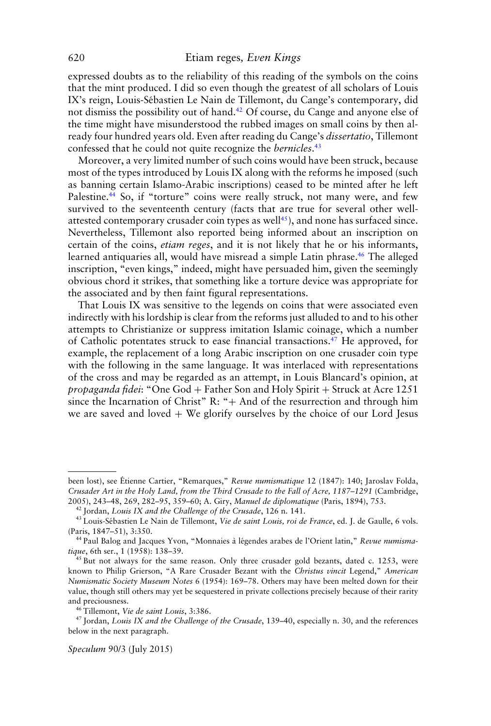expressed doubts as to the reliability of this reading of the symbols on the coins that the mint produced. I did so even though the greatest of all scholars of Louis IX's reign, Louis-Sebastien Le Nain de Tillemont, du Cange's contemporary, did ´ not dismiss the possibility out of hand.<sup>42</sup> Of course, du Cange and anyone else of the time might have misunderstood the rubbed images on small coins by then already four hundred years old. Even after reading du Cange's *dissertatio*, Tillemont confessed that he could not quite recognize the *bernicles*. 43

Moreover, a very limited number of such coins would have been struck, because most of the types introduced by Louis IX along with the reforms he imposed (such as banning certain Islamo-Arabic inscriptions) ceased to be minted after he left Palestine.<sup>44</sup> So, if "torture" coins were really struck, not many were, and few survived to the seventeenth century (facts that are true for several other wellattested contemporary crusader coin types as well $45$ ), and none has surfaced since. Nevertheless, Tillemont also reported being informed about an inscription on certain of the coins, *etiam reges*, and it is not likely that he or his informants, learned antiquaries all, would have misread a simple Latin phrase.46 The alleged inscription, "even kings," indeed, might have persuaded him, given the seemingly obvious chord it strikes, that something like a torture device was appropriate for the associated and by then faint figural representations.

That Louis IX was sensitive to the legends on coins that were associated even indirectly with his lordship is clear from the reforms just alluded to and to his other attempts to Christianize or suppress imitation Islamic coinage, which a number of Catholic potentates struck to ease financial transactions.47 He approved, for example, the replacement of a long Arabic inscription on one crusader coin type with the following in the same language. It was interlaced with representations of the cross and may be regarded as an attempt, in Louis Blancard's opinion, at *propaganda fidei*: "One God + Father Son and Holy Spirit + Struck at Acre 1251 since the Incarnation of Christ"  $R: "+ And of the resurrection and through him$ we are saved and loved  $+$  We glorify ourselves by the choice of our Lord Jesus

been lost), see Étienne Cartier, "Remarques," Revue numismatique 12 (1847): 140; Jaroslav Folda, *Crusader Art in the Holy Land, from the Third Crusade to the Fall of Acre, 1187–1291* (Cambridge, 2005), 243–48, 269, 282–95, 359–60; A. Giry, *Manuel de diplomatique* (Paris, 1894), 753.

<sup>42</sup> Jordan, *Louis IX and the Challenge of the Crusade*, 126 n. 141.

<sup>&</sup>lt;sup>43</sup> Louis-Sébastien Le Nain de Tillemont, Vie de saint Louis, roi de France, ed. J. de Gaulle, 6 vols. (Paris, 1847–51), 3:350.

<sup>&</sup>lt;sup>44</sup> Paul Balog and Jacques Yvon, "Monnaies à légendes arabes de l'Orient latin," Revue numisma*tique*, 6th ser., 1 (1958): 138–39.

<sup>&</sup>lt;sup>45</sup> But not always for the same reason. Only three crusader gold bezants, dated c. 1253, were known to Philip Grierson, "A Rare Crusader Bezant with the *Christus vincit* Legend," *American Numismatic Society Museum Notes* 6 (1954): 169–78. Others may have been melted down for their value, though still others may yet be sequestered in private collections precisely because of their rarity and preciousness.

<sup>46</sup> Tillemont, *Vie de saint Louis*, 3:386.

<sup>47</sup> Jordan, *Louis IX and the Challenge of the Crusade*, 139–40, especially n. 30, and the references below in the next paragraph.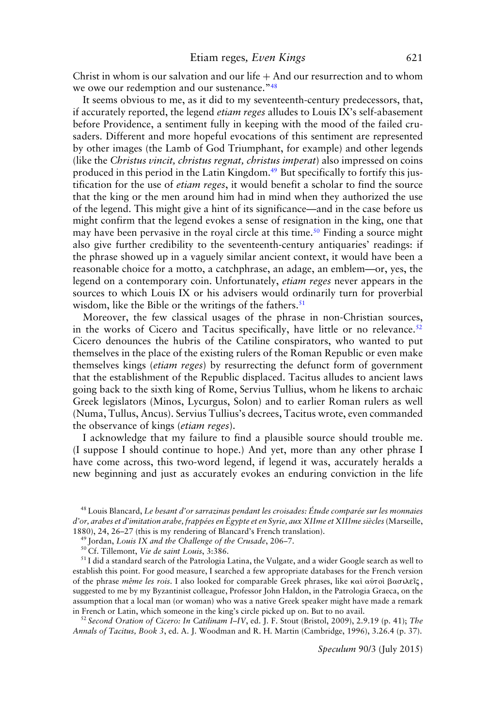Christ in whom is our salvation and our life  $+$  And our resurrection and to whom we owe our redemption and our sustenance."<sup>48</sup>

It seems obvious to me, as it did to my seventeenth-century predecessors, that, if accurately reported, the legend *etiam reges* alludes to Louis IX's self-abasement before Providence, a sentiment fully in keeping with the mood of the failed crusaders. Different and more hopeful evocations of this sentiment are represented by other images (the Lamb of God Triumphant, for example) and other legends (like the *Christus vincit, christus regnat, christus imperat*) also impressed on coins produced in this period in the Latin Kingdom.<sup>49</sup> But specifically to fortify this justification for the use of *etiam reges*, it would benefit a scholar to find the source that the king or the men around him had in mind when they authorized the use of the legend. This might give a hint of its significance—and in the case before us might confirm that the legend evokes a sense of resignation in the king, one that may have been pervasive in the royal circle at this time.<sup>50</sup> Finding a source might also give further credibility to the seventeenth-century antiquaries' readings: if the phrase showed up in a vaguely similar ancient context, it would have been a reasonable choice for a motto, a catchphrase, an adage, an emblem—or, yes, the legend on a contemporary coin. Unfortunately, *etiam reges* never appears in the sources to which Louis IX or his advisers would ordinarily turn for proverbial wisdom, like the Bible or the writings of the fathers. $51$ 

Moreover, the few classical usages of the phrase in non-Christian sources, in the works of Cicero and Tacitus specifically, have little or no relevance.<sup>52</sup> Cicero denounces the hubris of the Catiline conspirators, who wanted to put themselves in the place of the existing rulers of the Roman Republic or even make themselves kings (*etiam reges*) by resurrecting the defunct form of government that the establishment of the Republic displaced. Tacitus alludes to ancient laws going back to the sixth king of Rome, Servius Tullius, whom he likens to archaic Greek legislators (Minos, Lycurgus, Solon) and to earlier Roman rulers as well (Numa, Tullus, Ancus). Servius Tullius's decrees, Tacitus wrote, even commanded the observance of kings (*etiam reges*).

I acknowledge that my failure to find a plausible source should trouble me. (I suppose I should continue to hope.) And yet, more than any other phrase I have come across, this two-word legend, if legend it was, accurately heralds a new beginning and just as accurately evokes an enduring conviction in the life

<sup>52</sup> *Second Oration of Cicero: In Catilinam I–IV*, ed. J. F. Stout (Bristol, 2009), 2.9.19 (p. 41); *The Annals of Tacitus, Book 3*, ed. A. J. Woodman and R. H. Martin (Cambridge, 1996), 3.26.4 (p. 37).

<sup>&</sup>lt;sup>48</sup> Louis Blancard, *Le besant d'or sarrazinas pendant les croisades: Étude comparée sur les monnaies d'or, arabes et d'imitation arabe, frappees en ´ Egypte et en Syrie, aux XIIme et XIIIme si ´ ecles `* (Marseille, 1880), 24, 26–27 (this is my rendering of Blancard's French translation).

<sup>49</sup> Jordan, *Louis IX and the Challenge of the Crusade*, 206–7.

<sup>50</sup> Cf. Tillemont, *Vie de saint Louis*, 3:386.

<sup>&</sup>lt;sup>51</sup> I did a standard search of the Patrologia Latina, the Vulgate, and a wider Google search as well to establish this point. For good measure, I searched a few appropriate databases for the French version of the phrase *même les rois*. I also looked for comparable Greek phrases, like καὶ αὐτοὶ βασιλεῖς, suggested to me by my Byzantinist colleague, Professor John Haldon, in the Patrologia Graeca, on the assumption that a local man (or woman) who was a native Greek speaker might have made a remark in French or Latin, which someone in the king's circle picked up on. But to no avail.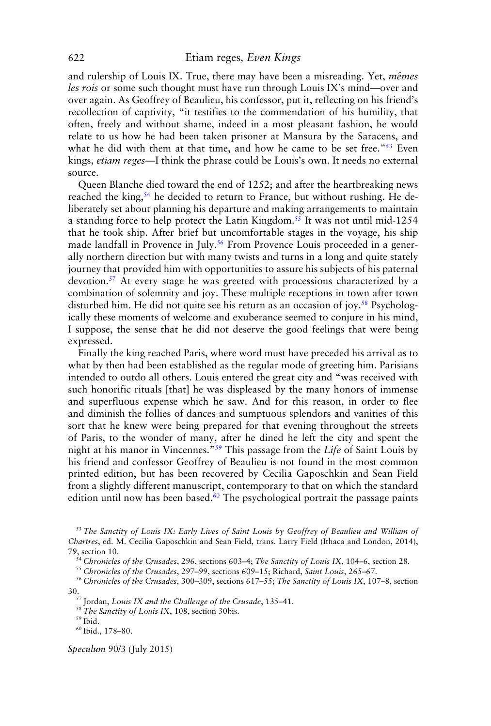and rulership of Louis IX. True, there may have been a misreading. Yet, *mêmes les rois* or some such thought must have run through Louis IX's mind—over and over again. As Geoffrey of Beaulieu, his confessor, put it, reflecting on his friend's recollection of captivity, "it testifies to the commendation of his humility, that often, freely and without shame, indeed in a most pleasant fashion, he would relate to us how he had been taken prisoner at Mansura by the Saracens, and what he did with them at that time, and how he came to be set free."<sup>53</sup> Even kings, *etiam reges*—I think the phrase could be Louis's own. It needs no external source.

Queen Blanche died toward the end of 1252; and after the heartbreaking news reached the king,<sup>54</sup> he decided to return to France, but without rushing. He deliberately set about planning his departure and making arrangements to maintain a standing force to help protect the Latin Kingdom.55 It was not until mid-1254 that he took ship. After brief but uncomfortable stages in the voyage, his ship made landfall in Provence in July.<sup>56</sup> From Provence Louis proceeded in a generally northern direction but with many twists and turns in a long and quite stately journey that provided him with opportunities to assure his subjects of his paternal devotion.<sup>57</sup> At every stage he was greeted with processions characterized by a combination of solemnity and joy. These multiple receptions in town after town disturbed him. He did not quite see his return as an occasion of joy.<sup>58</sup> Psychologically these moments of welcome and exuberance seemed to conjure in his mind, I suppose, the sense that he did not deserve the good feelings that were being expressed.

Finally the king reached Paris, where word must have preceded his arrival as to what by then had been established as the regular mode of greeting him. Parisians intended to outdo all others. Louis entered the great city and "was received with such honorific rituals [that] he was displeased by the many honors of immense and superfluous expense which he saw. And for this reason, in order to flee and diminish the follies of dances and sumptuous splendors and vanities of this sort that he knew were being prepared for that evening throughout the streets of Paris, to the wonder of many, after he dined he left the city and spent the night at his manor in Vincennes."59 This passage from the *Life* of Saint Louis by his friend and confessor Geoffrey of Beaulieu is not found in the most common printed edition, but has been recovered by Cecilia Gaposchkin and Sean Field from a slightly different manuscript, contemporary to that on which the standard edition until now has been based.<sup>60</sup> The psychological portrait the passage paints

<sup>53</sup> *The Sanctity of Louis IX: Early Lives of Saint Louis by Geoffrey of Beaulieu and William of Chartres*, ed. M. Cecilia Gaposchkin and Sean Field, trans. Larry Field (Ithaca and London, 2014), 79, section 10.

<sup>54</sup> *Chronicles of the Crusades*, 296, sections 603–4; *The Sanctity of Louis IX*, 104–6, section 28.

<sup>55</sup> *Chronicles of the Crusades*, 297–99, sections 609–15; Richard, *Saint Louis*, 265–67.

<sup>56</sup> *Chronicles of the Crusades*, 300–309, sections 617–55; *The Sanctity of Louis IX*, 107–8, section

30.57 Jordan, *Louis IX and the Challenge of the Crusade*, 135–41.

<sup>58</sup> *The Sanctity of Louis IX*, 108, section 30bis.

 $^{59}$  Ibid.

<sup>60</sup> Ibid., 178–80.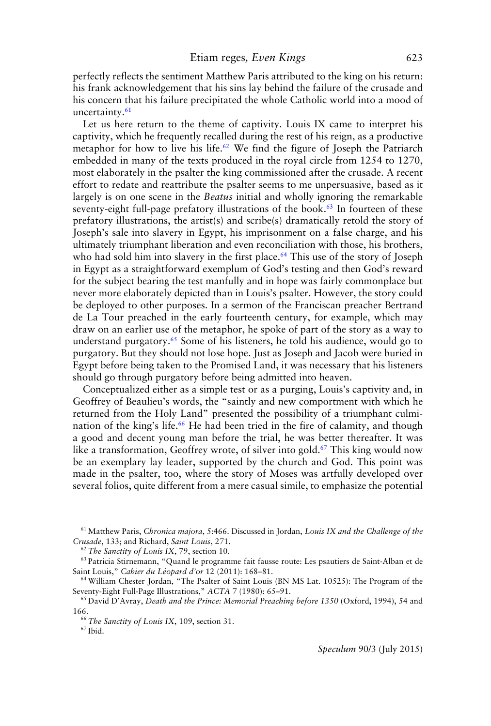perfectly reflects the sentiment Matthew Paris attributed to the king on his return: his frank acknowledgement that his sins lay behind the failure of the crusade and his concern that his failure precipitated the whole Catholic world into a mood of uncertainty.<sup>61</sup>

Let us here return to the theme of captivity. Louis IX came to interpret his captivity, which he frequently recalled during the rest of his reign, as a productive metaphor for how to live his life.<sup>62</sup> We find the figure of Joseph the Patriarch embedded in many of the texts produced in the royal circle from 1254 to 1270, most elaborately in the psalter the king commissioned after the crusade. A recent effort to redate and reattribute the psalter seems to me unpersuasive, based as it largely is on one scene in the *Beatus* initial and wholly ignoring the remarkable seventy-eight full-page prefatory illustrations of the book. $63$  In fourteen of these prefatory illustrations, the artist(s) and scribe(s) dramatically retold the story of Joseph's sale into slavery in Egypt, his imprisonment on a false charge, and his ultimately triumphant liberation and even reconciliation with those, his brothers, who had sold him into slavery in the first place.<sup>64</sup> This use of the story of Joseph in Egypt as a straightforward exemplum of God's testing and then God's reward for the subject bearing the test manfully and in hope was fairly commonplace but never more elaborately depicted than in Louis's psalter. However, the story could be deployed to other purposes. In a sermon of the Franciscan preacher Bertrand de La Tour preached in the early fourteenth century, for example, which may draw on an earlier use of the metaphor, he spoke of part of the story as a way to understand purgatory.<sup>65</sup> Some of his listeners, he told his audience, would go to purgatory. But they should not lose hope. Just as Joseph and Jacob were buried in Egypt before being taken to the Promised Land, it was necessary that his listeners should go through purgatory before being admitted into heaven.

Conceptualized either as a simple test or as a purging, Louis's captivity and, in Geoffrey of Beaulieu's words, the "saintly and new comportment with which he returned from the Holy Land" presented the possibility of a triumphant culmination of the king's life.<sup>66</sup> He had been tried in the fire of calamity, and though a good and decent young man before the trial, he was better thereafter. It was like a transformation, Geoffrey wrote, of silver into gold.<sup>67</sup> This king would now be an exemplary lay leader, supported by the church and God. This point was made in the psalter, too, where the story of Moses was artfully developed over several folios, quite different from a mere casual simile, to emphasize the potential

<sup>61</sup> Matthew Paris, *Chronica majora*, 5:466. Discussed in Jordan, *Louis IX and the Challenge of the Crusade*, 133; and Richard, *Saint Louis*, 271.

<sup>62</sup> *The Sanctity of Louis IX*, 79, section 10.

<sup>63</sup> Patricia Stirnemann, "Quand le programme fait fausse route: Les psautiers de Saint-Alban et de Saint Louis," *Cahier du Leopard d'or ´* 12 (2011): 168–81.

<sup>64</sup> William Chester Jordan, "The Psalter of Saint Louis (BN MS Lat. 10525): The Program of the Seventy-Eight Full-Page Illustrations," *ACTA* 7 (1980): 65–91.

<sup>65</sup> David D'Avray, *Death and the Prince: Memorial Preaching before 1350* (Oxford, 1994), 54 and 166.

<sup>66</sup> *The Sanctity of Louis IX*, 109, section 31.

<sup>67</sup> Ibid.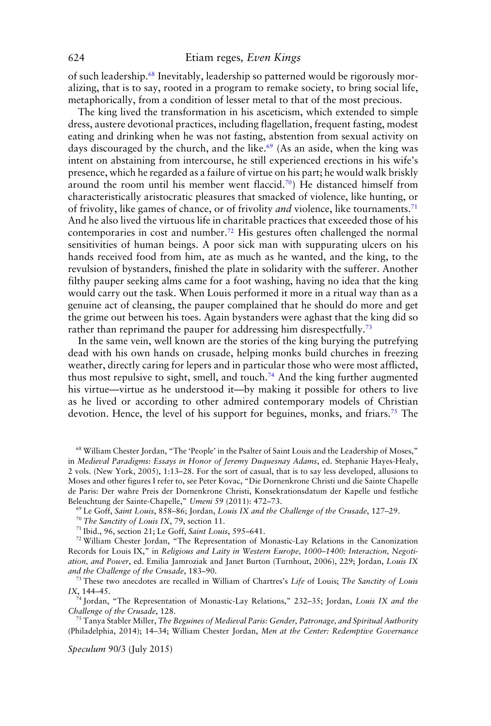of such leadership.68 Inevitably, leadership so patterned would be rigorously moralizing, that is to say, rooted in a program to remake society, to bring social life, metaphorically, from a condition of lesser metal to that of the most precious.

The king lived the transformation in his asceticism, which extended to simple dress, austere devotional practices, including flagellation, frequent fasting, modest eating and drinking when he was not fasting, abstention from sexual activity on days discouraged by the church, and the like.<sup>69</sup> (As an aside, when the king was intent on abstaining from intercourse, he still experienced erections in his wife's presence, which he regarded as a failure of virtue on his part; he would walk briskly around the room until his member went flaccid.<sup>70</sup>) He distanced himself from characteristically aristocratic pleasures that smacked of violence, like hunting, or of frivolity, like games of chance, or of frivolity *and* violence, like tournaments.71 And he also lived the virtuous life in charitable practices that exceeded those of his contemporaries in cost and number.72 His gestures often challenged the normal sensitivities of human beings. A poor sick man with suppurating ulcers on his hands received food from him, ate as much as he wanted, and the king, to the revulsion of bystanders, finished the plate in solidarity with the sufferer. Another filthy pauper seeking alms came for a foot washing, having no idea that the king would carry out the task. When Louis performed it more in a ritual way than as a genuine act of cleansing, the pauper complained that he should do more and get the grime out between his toes. Again bystanders were aghast that the king did so rather than reprimand the pauper for addressing him disrespectfully.<sup>73</sup>

In the same vein, well known are the stories of the king burying the putrefying dead with his own hands on crusade, helping monks build churches in freezing weather, directly caring for lepers and in particular those who were most afflicted, thus most repulsive to sight, smell, and touch.<sup>74</sup> And the king further augmented his virtue—virtue as he understood it—by making it possible for others to live as he lived or according to other admired contemporary models of Christian devotion. Hence, the level of his support for beguines, monks, and friars.<sup>75</sup> The

<sup>68</sup> William Chester Jordan, "The 'People' in the Psalter of Saint Louis and the Leadership of Moses," in *Medieval Paradigms: Essays in Honor of Jeremy Duquesnay Adams*, ed. Stephanie Hayes-Healy, 2 vols. (New York, 2005), 1:13–28. For the sort of casual, that is to say less developed, allusions to Moses and other figures I refer to, see Peter Kovac, "Die Dornenkrone Christi und die Sainte Chapelle de Paris: Der wahre Preis der Dornenkrone Christi, Konsekrationsdatum der Kapelle und festliche Beleuchtung der Sainte-Chapelle," *Umeni* 59 (2011): 472–73.

<sup>69</sup> Le Goff, *Saint Louis*, 858–86; Jordan, *Louis IX and the Challenge of the Crusade*, 127–29.

<sup>72</sup> William Chester Jordan, "The Representation of Monastic-Lay Relations in the Canonization Records for Louis IX," in *Religious and Laity in Western Europe, 1000–1400: Interaction, Negotiation, and Power*, ed. Emilia Jamroziak and Janet Burton (Turnhout, 2006), 229; Jordan, *Louis IX and the Challenge of the Crusade*, 183–90.

<sup>73</sup> These two anecdotes are recalled in William of Chartres's *Life* of Louis; *The Sanctity of Louis IX*, 144–45.

<sup>74</sup> Jordan, "The Representation of Monastic-Lay Relations," 232–35; Jordan, *Louis IX and the Challenge of the Crusade*, 128.

<sup>75</sup> Tanya Stabler Miller, *The Beguines of Medieval Paris: Gender, Patronage, and Spiritual Authority* (Philadelphia, 2014); 14–34; William Chester Jordan, *Men at the Center: Redemptive Governance*

<sup>70</sup> *The Sanctity of Louis IX*, 79, section 11.

<sup>71</sup> Ibid., 96, section 21; Le Goff, *Saint Louis*, 595–641.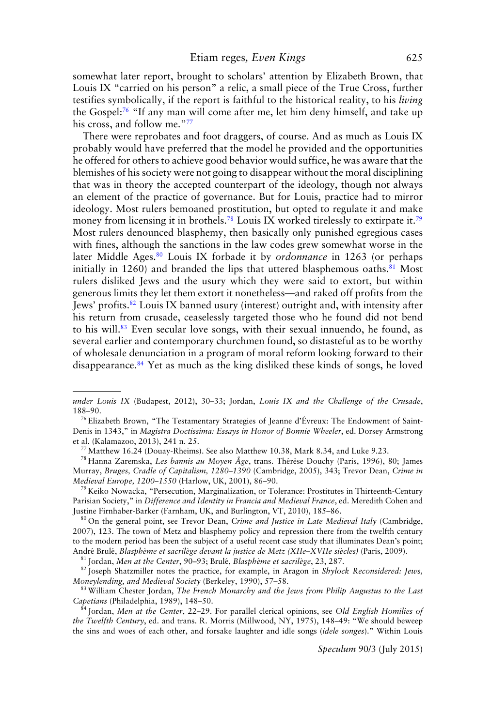somewhat later report, brought to scholars' attention by Elizabeth Brown, that Louis IX "carried on his person" a relic, a small piece of the True Cross, further testifies symbolically, if the report is faithful to the historical reality, to his *living* the Gospel:<sup>76</sup> "If any man will come after me, let him deny himself, and take up his cross, and follow me."77

There were reprobates and foot draggers, of course. And as much as Louis IX probably would have preferred that the model he provided and the opportunities he offered for others to achieve good behavior would suffice, he was aware that the blemishes of his society were not going to disappear without the moral disciplining that was in theory the accepted counterpart of the ideology, though not always an element of the practice of governance. But for Louis, practice had to mirror ideology. Most rulers bemoaned prostitution, but opted to regulate it and make money from licensing it in brothels.<sup>78</sup> Louis IX worked tirelessly to extirpate it.<sup>79</sup> Most rulers denounced blasphemy, then basically only punished egregious cases with fines, although the sanctions in the law codes grew somewhat worse in the later Middle Ages.80 Louis IX forbade it by *ordonnance* in 1263 (or perhaps initially in  $1260$ ) and branded the lips that uttered blasphemous oaths.<sup>81</sup> Most rulers disliked Jews and the usury which they were said to extort, but within generous limits they let them extort it nonetheless—and raked off profits from the Jews' profits.82 Louis IX banned usury (interest) outright and, with intensity after his return from crusade, ceaselessly targeted those who he found did not bend to his will.83 Even secular love songs, with their sexual innuendo, he found, as several earlier and contemporary churchmen found, so distasteful as to be worthy of wholesale denunciation in a program of moral reform looking forward to their disappearance.<sup>84</sup> Yet as much as the king disliked these kinds of songs, he loved

<sup>78</sup> Hanna Zaremska, *Les bannis au Moyen Âge*, trans. Thérèse Douchy (Paris, 1996), 80; James Murray, *Bruges, Cradle of Capitalism, 1280–1390* (Cambridge, 2005), 343; Trevor Dean, *Crime in Medieval Europe, 1200–1550* (Harlow, UK, 2001), 86–90.

<sup>79</sup> Keiko Nowacka, "Persecution, Marginalization, or Tolerance: Prostitutes in Thirteenth-Century Parisian Society," in *Difference and Identity in Francia and Medieval France*, ed. Meredith Cohen and Justine Firnhaber-Barker (Farnham, UK, and Burlington, VT, 2010), 185–86.

<sup>80</sup> On the general point, see Trevor Dean, *Crime and Justice in Late Medieval Italy* (Cambridge, 2007), 123. The town of Metz and blasphemy policy and repression there from the twelfth century to the modern period has been the subject of a useful recent case study that illuminates Dean's point; Andre Brul ´ e,´ *Blaspheme et sacril ` ege devant la justice de Metz (XIIe–XVIIe si ` ecles) `* (Paris, 2009).

81 Jordan, Men at the Center, 90-93; Brulé, *Blasphème et sacrilège*, 23, 287.

<sup>82</sup> Joseph Shatzmiller notes the practice, for example, in Aragon in *Shylock Reconsidered: Jews, Moneylending, and Medieval Society* (Berkeley, 1990), 57–58.

<sup>83</sup> William Chester Jordan, *The French Monarchy and the Jews from Philip Augustus to the Last Capetians* (Philadelphia, 1989), 148–50.

<sup>84</sup> Jordan, *Men at the Center*, 22–29. For parallel clerical opinions, see *Old English Homilies of the Twelfth Century*, ed. and trans. R. Morris (Millwood, NY, 1975), 148–49: "We should beweep the sins and woes of each other, and forsake laughter and idle songs (*idele songes*)." Within Louis

*under Louis IX* (Budapest, 2012), 30–33; Jordan, *Louis IX and the Challenge of the Crusade*, 188–90.

<sup>&</sup>lt;sup>76</sup> Elizabeth Brown, "The Testamentary Strategies of Jeanne d'Évreux: The Endowment of Saint-Denis in 1343," in *Magistra Doctissima: Essays in Honor of Bonnie Wheeler*, ed. Dorsey Armstrong et al. (Kalamazoo, 2013), 241 n. 25.

<sup>77</sup> Matthew 16.24 (Douay-Rheims). See also Matthew 10.38, Mark 8.34, and Luke 9.23.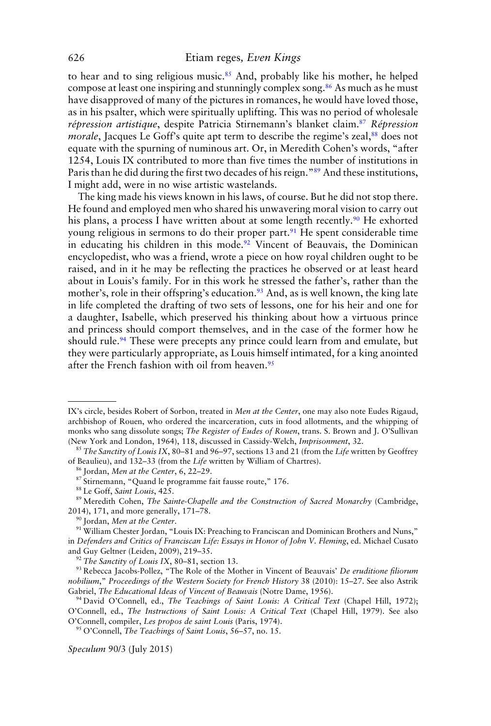to hear and to sing religious music.<sup>85</sup> And, probably like his mother, he helped compose at least one inspiring and stunningly complex song.<sup>86</sup> As much as he must have disapproved of many of the pictures in romances, he would have loved those, as in his psalter, which were spiritually uplifting. This was no period of wholesale *répression artistique*, despite Patricia Stirnemann's blanket claim.<sup>87</sup> *Répression morale*, Jacques Le Goff's quite apt term to describe the regime's zeal,<sup>88</sup> does not equate with the spurning of numinous art. Or, in Meredith Cohen's words, "after 1254, Louis IX contributed to more than five times the number of institutions in Paris than he did during the first two decades of his reign."<sup>89</sup> And these institutions, I might add, were in no wise artistic wastelands.

The king made his views known in his laws, of course. But he did not stop there. He found and employed men who shared his unwavering moral vision to carry out his plans, a process I have written about at some length recently.<sup>90</sup> He exhorted young religious in sermons to do their proper part.<sup>91</sup> He spent considerable time in educating his children in this mode.<sup>92</sup> Vincent of Beauvais, the Dominican encyclopedist, who was a friend, wrote a piece on how royal children ought to be raised, and in it he may be reflecting the practices he observed or at least heard about in Louis's family. For in this work he stressed the father's, rather than the mother's, role in their offspring's education.<sup>93</sup> And, as is well known, the king late in life completed the drafting of two sets of lessons, one for his heir and one for a daughter, Isabelle, which preserved his thinking about how a virtuous prince and princess should comport themselves, and in the case of the former how he should rule.<sup>94</sup> These were precepts any prince could learn from and emulate, but they were particularly appropriate, as Louis himself intimated, for a king anointed after the French fashion with oil from heaven.<sup>95</sup>

IX's circle, besides Robert of Sorbon, treated in *Men at the Center*, one may also note Eudes Rigaud, archbishop of Rouen, who ordered the incarceration, cuts in food allotments, and the whipping of monks who sang dissolute songs; *The Register of Eudes of Rouen*, trans. S. Brown and J. O'Sullivan (New York and London, 1964), 118, discussed in Cassidy-Welch, *Imprisonment*, 32.

<sup>85</sup> *The Sanctity of Louis IX*, 80–81 and 96–97, sections 13 and 21 (from the *Life* written by Geoffrey of Beaulieu), and 132–33 (from the *Life* written by William of Chartres).

<sup>86</sup> Jordan, *Men at the Center*, 6, 22–29.

<sup>87</sup> Stirnemann, "Quand le programme fait fausse route," 176.

<sup>88</sup> Le Goff, *Saint Louis*, 425.

<sup>89</sup> Meredith Cohen, *The Sainte-Chapelle and the Construction of Sacred Monarchy* (Cambridge, 2014), 171, and more generally, 171–78.

<sup>90</sup> Jordan, *Men at the Center*.

<sup>91</sup> William Chester Jordan, "Louis IX: Preaching to Franciscan and Dominican Brothers and Nuns," in *Defenders and Critics of Franciscan Life: Essays in Honor of John V. Fleming*, ed. Michael Cusato and Guy Geltner (Leiden, 2009), 219–35.

<sup>92</sup> *The Sanctity of Louis IX*, 80–81, section 13.

<sup>93</sup> Rebecca Jacobs-Pollez, "The Role of the Mother in Vincent of Beauvais' *De eruditione filiorum nobilium*," *Proceedings of the Western Society for French History* 38 (2010): 15–27. See also Astrik Gabriel, *The Educational Ideas of Vincent of Beauvais* (Notre Dame, 1956).

<sup>94</sup> David O'Connell, ed., *The Teachings of Saint Louis: A Critical Text* (Chapel Hill, 1972); O'Connell, ed., *The Instructions of Saint Louis: A Critical Text* (Chapel Hill, 1979). See also O'Connell, compiler, *Les propos de saint Louis* (Paris, 1974).

<sup>95</sup> O'Connell, *The Teachings of Saint Louis*, 56–57, no. 15.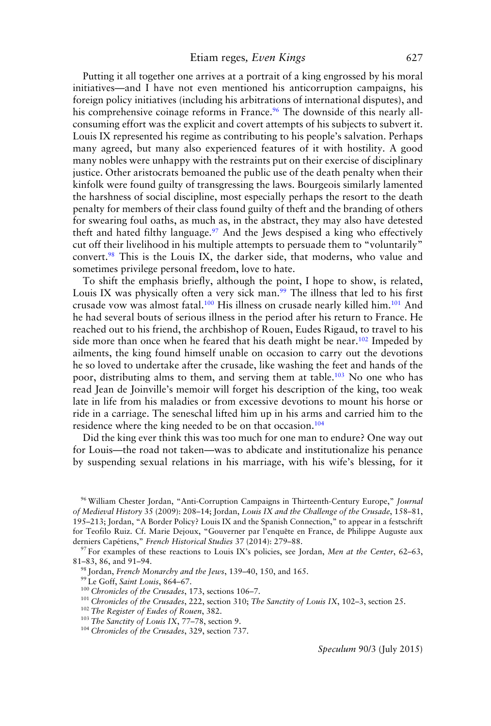Putting it all together one arrives at a portrait of a king engrossed by his moral initiatives—and I have not even mentioned his anticorruption campaigns, his foreign policy initiatives (including his arbitrations of international disputes), and his comprehensive coinage reforms in France.<sup>96</sup> The downside of this nearly allconsuming effort was the explicit and covert attempts of his subjects to subvert it. Louis IX represented his regime as contributing to his people's salvation. Perhaps many agreed, but many also experienced features of it with hostility. A good many nobles were unhappy with the restraints put on their exercise of disciplinary justice. Other aristocrats bemoaned the public use of the death penalty when their kinfolk were found guilty of transgressing the laws. Bourgeois similarly lamented the harshness of social discipline, most especially perhaps the resort to the death penalty for members of their class found guilty of theft and the branding of others for swearing foul oaths, as much as, in the abstract, they may also have detested theft and hated filthy language.<sup>97</sup> And the Jews despised a king who effectively cut off their livelihood in his multiple attempts to persuade them to "voluntarily" convert.<sup>98</sup> This is the Louis IX, the darker side, that moderns, who value and sometimes privilege personal freedom, love to hate.

To shift the emphasis briefly, although the point, I hope to show, is related, Louis IX was physically often a very sick man. $99$  The illness that led to his first crusade vow was almost fatal.<sup>100</sup> His illness on crusade nearly killed him.<sup>101</sup> And he had several bouts of serious illness in the period after his return to France. He reached out to his friend, the archbishop of Rouen, Eudes Rigaud, to travel to his side more than once when he feared that his death might be near.<sup>102</sup> Impeded by ailments, the king found himself unable on occasion to carry out the devotions he so loved to undertake after the crusade, like washing the feet and hands of the poor, distributing alms to them, and serving them at table.103 No one who has read Jean de Joinville's memoir will forget his description of the king, too weak late in life from his maladies or from excessive devotions to mount his horse or ride in a carriage. The seneschal lifted him up in his arms and carried him to the residence where the king needed to be on that occasion.<sup>104</sup>

Did the king ever think this was too much for one man to endure? One way out for Louis—the road not taken—was to abdicate and institutionalize his penance by suspending sexual relations in his marriage, with his wife's blessing, for it

<sup>96</sup> William Chester Jordan, "Anti-Corruption Campaigns in Thirteenth-Century Europe," *Journal of Medieval History* 35 (2009): 208–14; Jordan, *Louis IX and the Challenge of the Crusade*, 158–81, 195–213; Jordan, "A Border Policy? Louis IX and the Spanish Connection," to appear in a festschrift for Teofilo Ruiz. Cf. Marie Dejoux, "Gouverner par l'enquête en France, de Philippe Auguste aux derniers Capétiens," French Historical Studies 37 (2014): 279-88.

<sup>97</sup> For examples of these reactions to Louis IX's policies, see Jordan, *Men at the Center*, 62–63, 81–83, 86, and 91–94.

<sup>98</sup> Jordan, *French Monarchy and the Jews*, 139–40, 150, and 165.

<sup>99</sup> Le Goff, *Saint Louis*, 864–67.

<sup>100</sup> *Chronicles of the Crusades*, 173, sections 106–7.

<sup>101</sup> *Chronicles of the Crusades*, 222, section 310; *The Sanctity of Louis IX*, 102–3, section 25.

<sup>102</sup> *The Register of Eudes of Rouen*, 382.

<sup>103</sup> *The Sanctity of Louis IX*, 77–78, section 9.

<sup>104</sup> *Chronicles of the Crusades*, 329, section 737.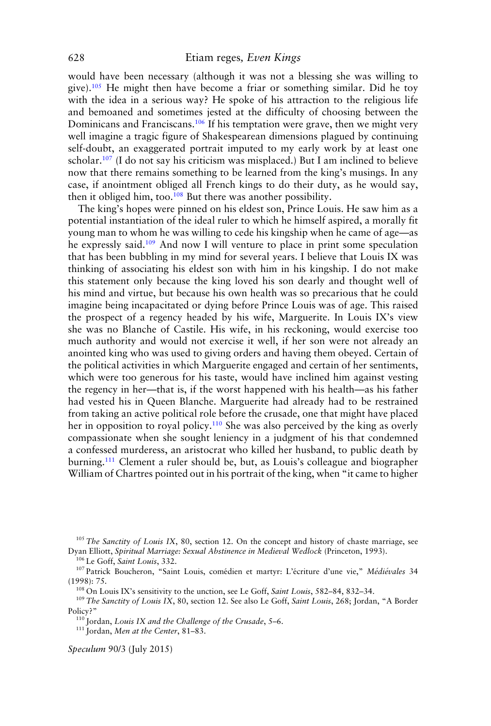would have been necessary (although it was not a blessing she was willing to give).<sup>105</sup> He might then have become a friar or something similar. Did he toy with the idea in a serious way? He spoke of his attraction to the religious life and bemoaned and sometimes jested at the difficulty of choosing between the Dominicans and Franciscans.<sup>106</sup> If his temptation were grave, then we might very well imagine a tragic figure of Shakespearean dimensions plagued by continuing self-doubt, an exaggerated portrait imputed to my early work by at least one scholar.<sup>107</sup> (I do not say his criticism was misplaced.) But I am inclined to believe now that there remains something to be learned from the king's musings. In any case, if anointment obliged all French kings to do their duty, as he would say, then it obliged him, too.<sup>108</sup> But there was another possibility.

The king's hopes were pinned on his eldest son, Prince Louis. He saw him as a potential instantiation of the ideal ruler to which he himself aspired, a morally fit young man to whom he was willing to cede his kingship when he came of age—as he expressly said.<sup>109</sup> And now I will venture to place in print some speculation that has been bubbling in my mind for several years. I believe that Louis IX was thinking of associating his eldest son with him in his kingship. I do not make this statement only because the king loved his son dearly and thought well of his mind and virtue, but because his own health was so precarious that he could imagine being incapacitated or dying before Prince Louis was of age. This raised the prospect of a regency headed by his wife, Marguerite. In Louis IX's view she was no Blanche of Castile. His wife, in his reckoning, would exercise too much authority and would not exercise it well, if her son were not already an anointed king who was used to giving orders and having them obeyed. Certain of the political activities in which Marguerite engaged and certain of her sentiments, which were too generous for his taste, would have inclined him against vesting the regency in her—that is, if the worst happened with his health—as his father had vested his in Queen Blanche. Marguerite had already had to be restrained from taking an active political role before the crusade, one that might have placed her in opposition to royal policy.<sup>110</sup> She was also perceived by the king as overly compassionate when she sought leniency in a judgment of his that condemned a confessed murderess, an aristocrat who killed her husband, to public death by burning.111 Clement a ruler should be, but, as Louis's colleague and biographer William of Chartres pointed out in his portrait of the king, when "it came to higher

<sup>105</sup> *The Sanctity of Louis IX*, 80, section 12. On the concept and history of chaste marriage, see Dyan Elliott, *Spiritual Marriage: Sexual Abstinence in Medieval Wedlock* (Princeton, 1993).

<sup>106</sup> Le Goff, *Saint Louis*, 332.

<sup>107</sup> Patrick Boucheron, "Saint Louis, comédien et martyr: L'écriture d'une vie," Médiévales 34 (1998): 75.

<sup>108</sup> On Louis IX's sensitivity to the unction, see Le Goff, *Saint Louis*, 582–84, 832–34.

<sup>109</sup> *The Sanctity of Louis IX*, 80, section 12. See also Le Goff, *Saint Louis*, 268; Jordan, "A Border Policy?"

<sup>110</sup> Jordan, *Louis IX and the Challenge of the Crusade*, 5–6.

<sup>111</sup> Jordan, *Men at the Center*, 81–83.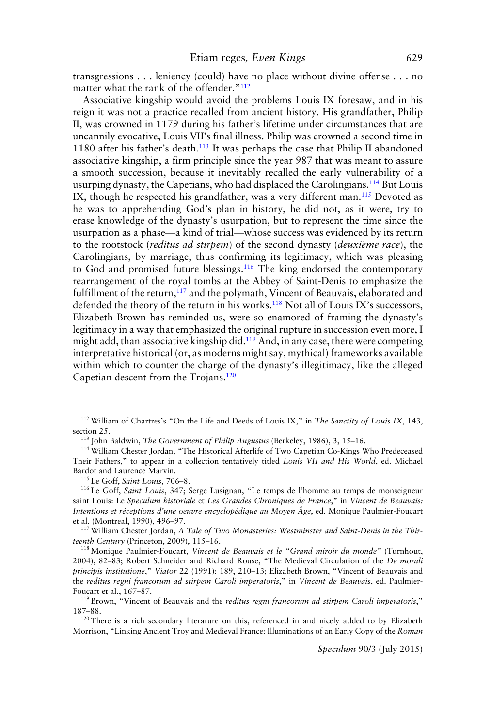transgressions . . . leniency (could) have no place without divine offense . . . no matter what the rank of the offender."<sup>112</sup>

Associative kingship would avoid the problems Louis IX foresaw, and in his reign it was not a practice recalled from ancient history. His grandfather, Philip II, was crowned in 1179 during his father's lifetime under circumstances that are uncannily evocative, Louis VII's final illness. Philip was crowned a second time in 1180 after his father's death.<sup>113</sup> It was perhaps the case that Philip II abandoned associative kingship, a firm principle since the year 987 that was meant to assure a smooth succession, because it inevitably recalled the early vulnerability of a usurping dynasty, the Capetians, who had displaced the Carolingians.<sup>114</sup> But Louis IX, though he respected his grandfather, was a very different man.<sup>115</sup> Devoted as he was to apprehending God's plan in history, he did not, as it were, try to erase knowledge of the dynasty's usurpation, but to represent the time since the usurpation as a phase—a kind of trial—whose success was evidenced by its return to the rootstock (*reditus ad stirpem*) of the second dynasty (*deuxieme race `* ), the Carolingians, by marriage, thus confirming its legitimacy, which was pleasing to God and promised future blessings.<sup>116</sup> The king endorsed the contemporary rearrangement of the royal tombs at the Abbey of Saint-Denis to emphasize the fulfillment of the return,<sup>117</sup> and the polymath, Vincent of Beauvais, elaborated and defended the theory of the return in his works.<sup>118</sup> Not all of Louis IX's successors, Elizabeth Brown has reminded us, were so enamored of framing the dynasty's legitimacy in a way that emphasized the original rupture in succession even more, I might add, than associative kingship did.<sup>119</sup> And, in any case, there were competing interpretative historical (or, as moderns might say, mythical) frameworks available within which to counter the charge of the dynasty's illegitimacy, like the alleged Capetian descent from the Trojans.120

<sup>112</sup> William of Chartres's "On the Life and Deeds of Louis IX," in *The Sanctity of Louis IX*, 143, section 25.

<sup>113</sup> John Baldwin, *The Government of Philip Augustus* (Berkeley, 1986), 3, 15–16.

<sup>114</sup> William Chester Jordan, "The Historical Afterlife of Two Capetian Co-Kings Who Predeceased Their Fathers," to appear in a collection tentatively titled *Louis VII and His World*, ed. Michael Bardot and Laurence Marvin.

<sup>115</sup> Le Goff, *Saint Louis*, 706–8.

<sup>116</sup> Le Goff, *Saint Louis*, 347; Serge Lusignan, "Le temps de l'homme au temps de monseigneur saint Louis: Le *Speculum historiale* et *Les Grandes Chroniques de France*," in *Vincent de Beauvais: Intentions et receptions d'une oeuvre encyclop ´ edique au Moyen ´ Age ˆ* , ed. Monique Paulmier-Foucart et al. (Montreal, 1990), 496–97.

<sup>117</sup> William Chester Jordan, *A Tale of Two Monasteries: Westminster and Saint-Denis in the Thirteenth Century* (Princeton, 2009), 115–16.

<sup>118</sup> Monique Paulmier-Foucart, *Vincent de Beauvais et le "Grand miroir du monde"* (Turnhout, 2004), 82–83; Robert Schneider and Richard Rouse, "The Medieval Circulation of the *De morali principis institutione*," *Viator* 22 (1991): 189, 210–13; Elizabeth Brown, "Vincent of Beauvais and the *reditus regni francorum ad stirpem Caroli imperatoris*," in *Vincent de Beauvais*, ed. Paulmier-Foucart et al., 167–87.

<sup>119</sup> Brown, "Vincent of Beauvais and the *reditus regni francorum ad stirpem Caroli imperatoris*," 187–88.

<sup>120</sup> There is a rich secondary literature on this, referenced in and nicely added to by Elizabeth Morrison, "Linking Ancient Troy and Medieval France: Illuminations of an Early Copy of the *Roman*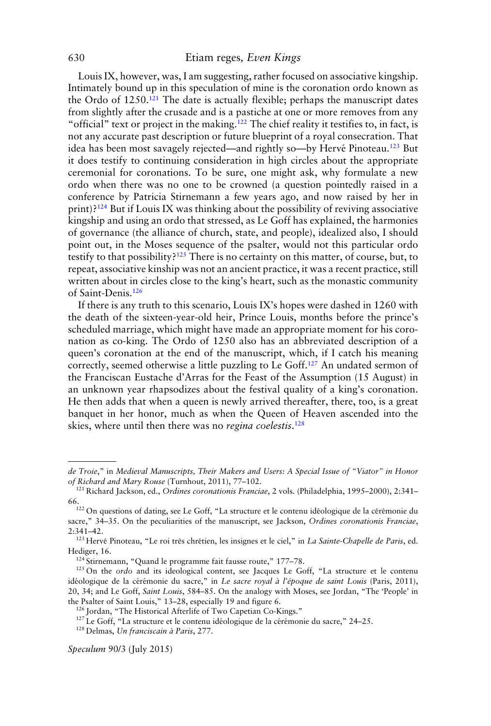Louis IX, however, was, I am suggesting, rather focused on associative kingship. Intimately bound up in this speculation of mine is the coronation ordo known as the Ordo of  $1250<sup>.121</sup>$  The date is actually flexible; perhaps the manuscript dates from slightly after the crusade and is a pastiche at one or more removes from any "official" text or project in the making.<sup>122</sup> The chief reality it testifies to, in fact, is not any accurate past description or future blueprint of a royal consecration. That idea has been most savagely rejected—and rightly so—by Hervé Pinoteau.<sup>123</sup> But it does testify to continuing consideration in high circles about the appropriate ceremonial for coronations. To be sure, one might ask, why formulate a new ordo when there was no one to be crowned (a question pointedly raised in a conference by Patricia Stirnemann a few years ago, and now raised by her in  $print$ )?<sup>124</sup> But if Louis IX was thinking about the possibility of reviving associative kingship and using an ordo that stressed, as Le Goff has explained, the harmonies of governance (the alliance of church, state, and people), idealized also, I should point out, in the Moses sequence of the psalter, would not this particular ordo testify to that possibility?<sup>125</sup> There is no certainty on this matter, of course, but, to repeat, associative kinship was not an ancient practice, it was a recent practice, still written about in circles close to the king's heart, such as the monastic community of Saint-Denis.126

If there is any truth to this scenario, Louis IX's hopes were dashed in 1260 with the death of the sixteen-year-old heir, Prince Louis, months before the prince's scheduled marriage, which might have made an appropriate moment for his coronation as co-king. The Ordo of 1250 also has an abbreviated description of a queen's coronation at the end of the manuscript, which, if I catch his meaning correctly, seemed otherwise a little puzzling to Le Goff.<sup>127</sup> An undated sermon of the Franciscan Eustache d'Arras for the Feast of the Assumption (15 August) in an unknown year rhapsodizes about the festival quality of a king's coronation. He then adds that when a queen is newly arrived thereafter, there, too, is a great banquet in her honor, much as when the Queen of Heaven ascended into the skies, where until then there was no *regina coelestis*. 128

*de Troie*," in *Medieval Manuscripts, Their Makers and Users: A Special Issue of "Viator" in Honor of Richard and Mary Rouse* (Turnhout, 2011), 77–102.

<sup>121</sup> Richard Jackson, ed., *Ordines coronationis Franciae*, 2 vols. (Philadelphia, 1995–2000), 2:341–

<sup>66.&</sup>lt;br><sup>122</sup> On questions of dating, see Le Goff, "La structure et le contenu idéologique de la cérémonie du sacre," 34–35. On the peculiarities of the manuscript, see Jackson, *Ordines coronationis Franciae*, 2:341–42.

<sup>&</sup>lt;sup>123</sup> Hervé Pinoteau, "Le roi très chrétien, les insignes et le ciel," in *La Sainte-Chapelle de Paris*, ed. Hediger, 16.

<sup>&</sup>lt;sup>124</sup> Stirnemann, "Quand le programme fait fausse route," 177-78.

<sup>125</sup> On the *ordo* and its ideological content, see Jacques Le Goff, "La structure et le contenu idéologique de la cérémonie du sacre," in Le sacre royal à l'époque de saint Louis (Paris, 2011), 20, 34; and Le Goff, *Saint Louis*, 584–85. On the analogy with Moses, see Jordan, "The 'People' in the Psalter of Saint Louis," 13–28, especially 19 and figure 6.

<sup>126</sup> Jordan, "The Historical Afterlife of Two Capetian Co-Kings."

 $127$  Le Goff, "La structure et le contenu idéologique de la cérémonie du sacre," 24–25.

<sup>128</sup> Delmas, *Un franciscain a Paris `* , 277.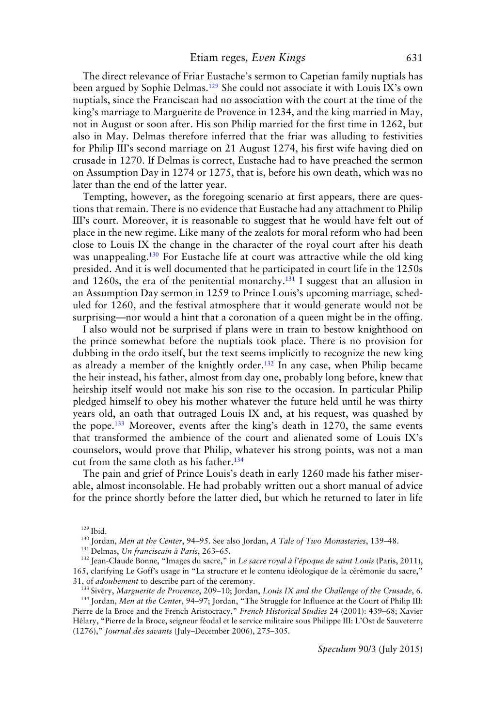The direct relevance of Friar Eustache's sermon to Capetian family nuptials has been argued by Sophie Delmas.<sup>129</sup> She could not associate it with Louis IX's own nuptials, since the Franciscan had no association with the court at the time of the king's marriage to Marguerite de Provence in 1234, and the king married in May, not in August or soon after. His son Philip married for the first time in 1262, but also in May. Delmas therefore inferred that the friar was alluding to festivities for Philip III's second marriage on 21 August 1274, his first wife having died on crusade in 1270. If Delmas is correct, Eustache had to have preached the sermon on Assumption Day in 1274 or 1275, that is, before his own death, which was no later than the end of the latter year.

Tempting, however, as the foregoing scenario at first appears, there are questions that remain. There is no evidence that Eustache had any attachment to Philip III's court. Moreover, it is reasonable to suggest that he would have felt out of place in the new regime. Like many of the zealots for moral reform who had been close to Louis IX the change in the character of the royal court after his death was unappealing.<sup>130</sup> For Eustache life at court was attractive while the old king presided. And it is well documented that he participated in court life in the 1250s and 1260s, the era of the penitential monarchy.<sup>131</sup> I suggest that an allusion in an Assumption Day sermon in 1259 to Prince Louis's upcoming marriage, scheduled for 1260, and the festival atmosphere that it would generate would not be surprising—nor would a hint that a coronation of a queen might be in the offing.

I also would not be surprised if plans were in train to bestow knighthood on the prince somewhat before the nuptials took place. There is no provision for dubbing in the ordo itself, but the text seems implicitly to recognize the new king as already a member of the knightly order.132 In any case, when Philip became the heir instead, his father, almost from day one, probably long before, knew that heirship itself would not make his son rise to the occasion. In particular Philip pledged himself to obey his mother whatever the future held until he was thirty years old, an oath that outraged Louis IX and, at his request, was quashed by the pope.133 Moreover, events after the king's death in 1270, the same events that transformed the ambience of the court and alienated some of Louis IX's counselors, would prove that Philip, whatever his strong points, was not a man cut from the same cloth as his father.<sup>134</sup>

The pain and grief of Prince Louis's death in early 1260 made his father miserable, almost inconsolable. He had probably written out a short manual of advice for the prince shortly before the latter died, but which he returned to later in life

<sup>129</sup> Ibid.

<sup>130</sup> Jordan, *Men at the Center*, 94–95. See also Jordan, *A Tale of Two Monasteries*, 139–48.

<sup>131</sup> Delmas, *Un franciscain à Paris*, 263-65.

<sup>132</sup> Jean-Claude Bonne, "Images du sacre," in *Le sacre royal a l' ` epoque de saint Louis ´* (Paris, 2011), 165, clarifying Le Goff's usage in "La structure et le contenu idéologique de la cérémonie du sacre," 31, of *adoubement* to describe part of the ceremony.

<sup>133</sup> Sivery, *Marguerite de Provence*, 209–10; Jordan, *Louis IX and the Challenge of the Crusade*, 6.

<sup>134</sup> Jordan, *Men at the Center*, 94–97; Jordan, "The Struggle for Influence at the Court of Philip III: Pierre de la Broce and the French Aristocracy," *French Historical Studies* 24 (2001): 439–68; Xavier Hélary, "Pierre de la Broce, seigneur féodal et le service militaire sous Philippe III: L'Ost de Sauveterre (1276)," *Journal des savants* (July–December 2006), 275–305.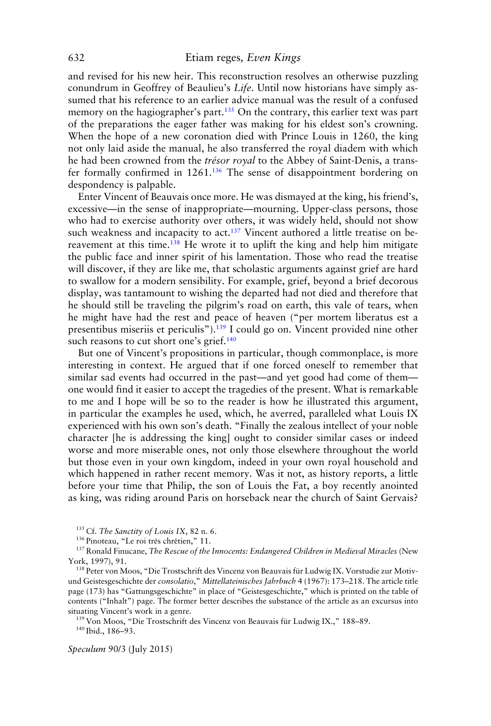and revised for his new heir. This reconstruction resolves an otherwise puzzling conundrum in Geoffrey of Beaulieu's *Life*. Until now historians have simply assumed that his reference to an earlier advice manual was the result of a confused memory on the hagiographer's part.<sup>135</sup> On the contrary, this earlier text was part of the preparations the eager father was making for his eldest son's crowning. When the hope of a new coronation died with Prince Louis in 1260, the king not only laid aside the manual, he also transferred the royal diadem with which he had been crowned from the *trésor royal* to the Abbey of Saint-Denis, a transfer formally confirmed in 1261.136 The sense of disappointment bordering on despondency is palpable.

Enter Vincent of Beauvais once more. He was dismayed at the king, his friend's, excessive—in the sense of inappropriate—mourning. Upper-class persons, those who had to exercise authority over others, it was widely held, should not show such weakness and incapacity to act.<sup>137</sup> Vincent authored a little treatise on bereavement at this time.138 He wrote it to uplift the king and help him mitigate the public face and inner spirit of his lamentation. Those who read the treatise will discover, if they are like me, that scholastic arguments against grief are hard to swallow for a modern sensibility. For example, grief, beyond a brief decorous display, was tantamount to wishing the departed had not died and therefore that he should still be traveling the pilgrim's road on earth, this vale of tears, when he might have had the rest and peace of heaven ("per mortem liberatus est a presentibus miseriis et periculis").139 I could go on. Vincent provided nine other such reasons to cut short one's grief.<sup>140</sup>

But one of Vincent's propositions in particular, though commonplace, is more interesting in context. He argued that if one forced oneself to remember that similar sad events had occurred in the past—and yet good had come of them one would find it easier to accept the tragedies of the present. What is remarkable to me and I hope will be so to the reader is how he illustrated this argument, in particular the examples he used, which, he averred, paralleled what Louis IX experienced with his own son's death. "Finally the zealous intellect of your noble character [he is addressing the king] ought to consider similar cases or indeed worse and more miserable ones, not only those elsewhere throughout the world but those even in your own kingdom, indeed in your own royal household and which happened in rather recent memory. Was it not, as history reports, a little before your time that Philip, the son of Louis the Fat, a boy recently anointed as king, was riding around Paris on horseback near the church of Saint Gervais?

<sup>135</sup> Cf. *The Sanctity of Louis IX*, 82 n. 6.

<sup>136</sup> Pinoteau, "Le roi très chrétien," 11.

<sup>137</sup> Ronald Finucane, *The Rescue of the Innocents: Endangered Children in Medieval Miracles* (New York, 1997), 91.

<sup>138</sup> Peter von Moos, "Die Trostschrift des Vincenz von Beauvais für Ludwig IX. Vorstudie zur Motivund Geistesgeschichte der *consolatio*," *Mittellateinisches Jahrbuch* 4 (1967): 173–218. The article title page (173) has "Gattungsgeschichte" in place of "Geistesgeschichte," which is printed on the table of contents ("Inhalt") page. The former better describes the substance of the article as an excursus into situating Vincent's work in a genre.

<sup>139</sup> Von Moos, "Die Trostschrift des Vincenz von Beauvais für Ludwig IX.," 188-89. <sup>140</sup> Ibid., 186–93.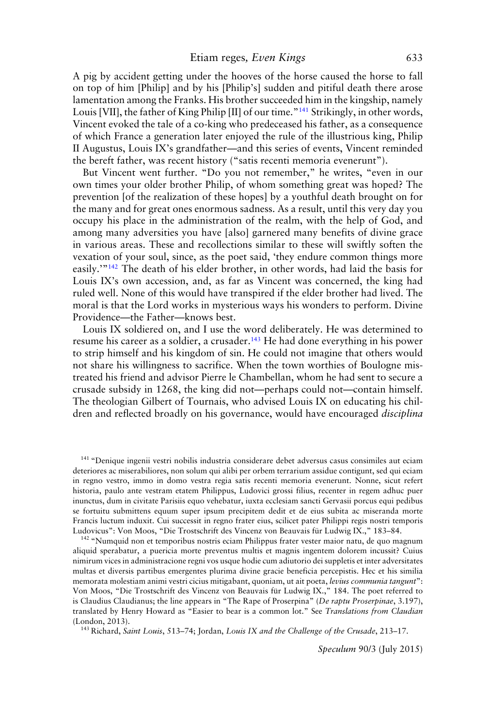A pig by accident getting under the hooves of the horse caused the horse to fall on top of him [Philip] and by his [Philip's] sudden and pitiful death there arose lamentation among the Franks. His brother succeeded him in the kingship, namely Louis [VII], the father of King Philip [II] of our time."<sup>141</sup> Strikingly, in other words, Vincent evoked the tale of a co-king who predeceased his father, as a consequence of which France a generation later enjoyed the rule of the illustrious king, Philip II Augustus, Louis IX's grandfather—and this series of events, Vincent reminded the bereft father, was recent history ("satis recenti memoria evenerunt").

But Vincent went further. "Do you not remember," he writes, "even in our own times your older brother Philip, of whom something great was hoped? The prevention [of the realization of these hopes] by a youthful death brought on for the many and for great ones enormous sadness. As a result, until this very day you occupy his place in the administration of the realm, with the help of God, and among many adversities you have [also] garnered many benefits of divine grace in various areas. These and recollections similar to these will swiftly soften the vexation of your soul, since, as the poet said, 'they endure common things more easily.'"142 The death of his elder brother, in other words, had laid the basis for Louis IX's own accession, and, as far as Vincent was concerned, the king had ruled well. None of this would have transpired if the elder brother had lived. The moral is that the Lord works in mysterious ways his wonders to perform. Divine Providence—the Father—knows best.

Louis IX soldiered on, and I use the word deliberately. He was determined to resume his career as a soldier, a crusader.<sup>143</sup> He had done everything in his power to strip himself and his kingdom of sin. He could not imagine that others would not share his willingness to sacrifice. When the town worthies of Boulogne mistreated his friend and advisor Pierre le Chambellan, whom he had sent to secure a crusade subsidy in 1268, the king did not—perhaps could not—contain himself. The theologian Gilbert of Tournais, who advised Louis IX on educating his children and reflected broadly on his governance, would have encouraged *disciplina*

<sup>142</sup> "Numquid non et temporibus nostris eciam Philippus frater vester maior natu, de quo magnum aliquid sperabatur, a puericia morte preventus multis et magnis ingentem dolorem incussit? Cuius nimirum vices in administracione regni vos usque hodie cum adiutorio dei suppletis et inter adversitates multas et diversis partibus emergentes plurima divine gracie beneficia percepistis. Hec et his similia memorata molestiam animi vestri cicius mitigabant, quoniam, ut ait poeta, *levius communia tangunt*": Von Moos, "Die Trostschrift des Vincenz von Beauvais fur Ludwig IX.," 184. The poet referred to ¨ is Claudius Claudianus; the line appears in "The Rape of Proserpina" (*De raptu Proserpinae*, 3.197), translated by Henry Howard as "Easier to bear is a common lot." See *Translations from Claudian* (London, 2013).

<sup>143</sup> Richard, *Saint Louis*, 513–74; Jordan, *Louis IX and the Challenge of the Crusade*, 213–17.

<sup>&</sup>lt;sup>141</sup> "Denique ingenii vestri nobilis industria considerare debet adversus casus consimiles aut eciam deteriores ac miserabiliores, non solum qui alibi per orbem terrarium assidue contigunt, sed qui eciam in regno vestro, immo in domo vestra regia satis recenti memoria evenerunt. Nonne, sicut refert historia, paulo ante vestram etatem Philippus, Ludovici grossi filius, recenter in regem adhuc puer inunctus, dum in civitate Parisiis equo vehebatur, iuxta ecclesiam sancti Gervasii porcus equi pedibus se fortuitu submittens equum super ipsum precipitem dedit et de eius subita ac miseranda morte Francis luctum induxit. Cui successit in regno frater eius, scilicet pater Philippi regis nostri temporis Ludovicus": Von Moos, "Die Trostschrift des Vincenz von Beauvais fur Ludwig IX.," 183–84. ¨